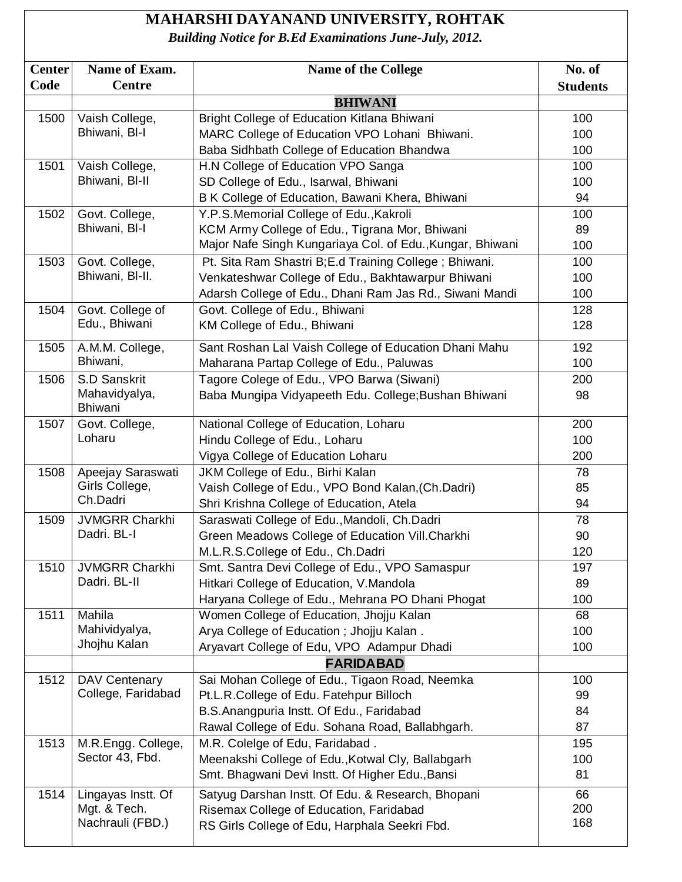## **MAHARSHI DAYANAND UNIVERSITY, ROHTAK**

*Building Notice for B.Ed Examinations June-July, 2012.*

| <b>Center</b> | Name of Exam.                   | <b>Name of the College</b>                                | No. of          |
|---------------|---------------------------------|-----------------------------------------------------------|-----------------|
| Code          | <b>Centre</b>                   |                                                           | <b>Students</b> |
|               |                                 | <b>BHIWANI</b>                                            |                 |
| 1500          | Vaish College,                  | Bright College of Education Kitlana Bhiwani               | 100             |
|               | Bhiwani, BI-I                   | MARC College of Education VPO Lohani Bhiwani.             | 100             |
|               |                                 | Baba Sidhbath College of Education Bhandwa                | 100             |
| 1501          | Vaish College,                  | H.N College of Education VPO Sanga                        | 100             |
|               | Bhiwani, BI-II                  | SD College of Edu., Isarwal, Bhiwani                      | 100             |
|               |                                 | B K College of Education, Bawani Khera, Bhiwani           | 94              |
| 1502          | Govt. College,                  | Y.P.S.Memorial College of Edu., Kakroli                   | 100             |
|               | Bhiwani, BI-I                   | KCM Army College of Edu., Tigrana Mor, Bhiwani            | 89              |
|               |                                 | Major Nafe Singh Kungariaya Col. of Edu., Kungar, Bhiwani | 100             |
| 1503          | Govt. College,                  | Pt. Sita Ram Shastri B; E.d Training College; Bhiwani.    | 100             |
|               | Bhiwani, BI-II.                 | Venkateshwar College of Edu., Bakhtawarpur Bhiwani        | 100             |
|               |                                 | Adarsh College of Edu., Dhani Ram Jas Rd., Siwani Mandi   | 100             |
| 1504          | Govt. College of                | Govt. College of Edu., Bhiwani                            | 128             |
|               | Edu., Bhiwani                   | KM College of Edu., Bhiwani                               | 128             |
| 1505          | A.M.M. College,                 | Sant Roshan Lal Vaish College of Education Dhani Mahu     | 192             |
|               | Bhiwani,                        | Maharana Partap College of Edu., Paluwas                  | 100             |
| 1506          | S.D Sanskrit                    | Tagore Colege of Edu., VPO Barwa (Siwani)                 | 200             |
|               | Mahavidyalya,<br><b>Bhiwani</b> | Baba Mungipa Vidyapeeth Edu. College; Bushan Bhiwani      | 98              |
| 1507          | Govt. College,                  | National College of Education, Loharu                     | 200             |
|               | Loharu                          | Hindu College of Edu., Loharu                             | 100             |
|               |                                 | Vigya College of Education Loharu                         | 200             |
| 1508          | Apeejay Saraswati               | JKM College of Edu., Birhi Kalan                          | 78              |
|               | Girls College,                  | Vaish College of Edu., VPO Bond Kalan, (Ch.Dadri)         | 85              |
|               | Ch.Dadri                        | Shri Krishna College of Education, Atela                  | 94              |
| 1509          | <b>JVMGRR Charkhi</b>           | Saraswati College of Edu., Mandoli, Ch.Dadri              | 78              |
|               | Dadri. BL-I                     | Green Meadows College of Education Vill.Charkhi           | 90              |
|               |                                 | M.L.R.S.College of Edu., Ch.Dadri                         | 120             |
| 1510          | <b>JVMGRR Charkhi</b>           | Smt. Santra Devi College of Edu., VPO Samaspur            | 197             |
|               | Dadri. BL-II                    | Hitkari College of Education, V.Mandola                   | 89              |
|               |                                 | Haryana College of Edu., Mehrana PO Dhani Phogat          | 100             |
| 1511          | Mahila                          | Women College of Education, Jhojju Kalan                  | 68              |
|               | Mahividyalya,                   | Arya College of Education; Jhojju Kalan.                  | 100             |
|               | Jhojhu Kalan                    | Aryavart College of Edu, VPO Adampur Dhadi                | 100             |
|               |                                 | <b>FARIDABAD</b>                                          |                 |
| 1512          | DAV Centenary                   | Sai Mohan College of Edu., Tigaon Road, Neemka            | 100             |
|               | College, Faridabad              | Pt.L.R.College of Edu. Fatehpur Billoch                   | 99              |
|               |                                 | B.S.Anangpuria Instt. Of Edu., Faridabad                  | 84              |
|               |                                 | Rawal College of Edu. Sohana Road, Ballabhgarh.           | 87              |
| 1513          | M.R.Engg. College,              | M.R. Colelge of Edu, Faridabad.                           | 195             |
|               | Sector 43, Fbd.                 | Meenakshi College of Edu., Kotwal Cly, Ballabgarh         | 100             |
|               |                                 | Smt. Bhagwani Devi Instt. Of Higher Edu., Bansi           | 81              |
| 1514          | Lingayas Instt. Of              | Satyug Darshan Instt. Of Edu. & Research, Bhopani         | 66              |
|               | Mgt. & Tech.                    | Risemax College of Education, Faridabad                   | 200             |
|               | Nachrauli (FBD.)                | RS Girls College of Edu, Harphala Seekri Fbd.             | 168             |
|               |                                 |                                                           |                 |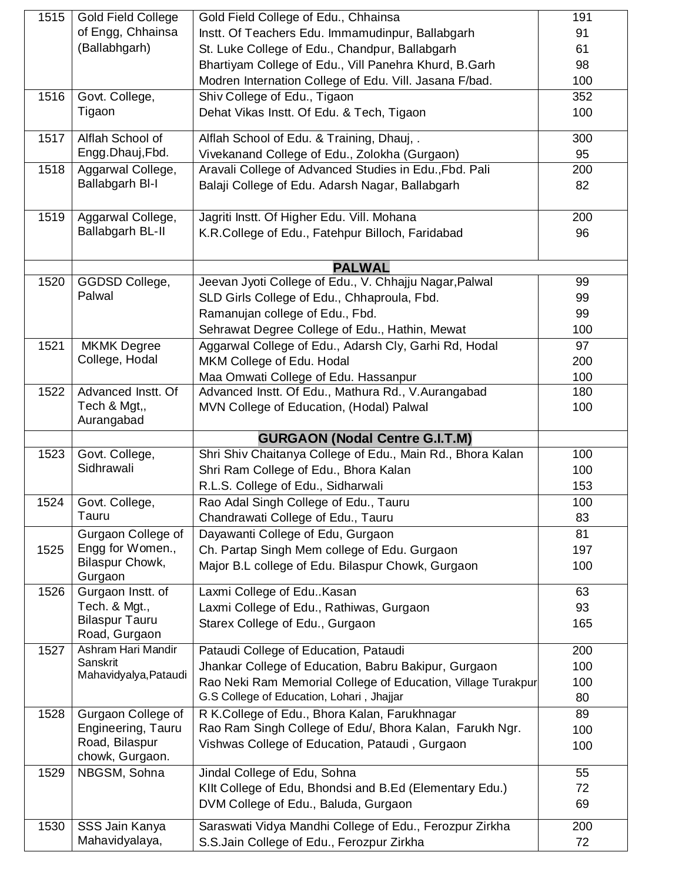| 1515 | <b>Gold Field College</b>                   | Gold Field College of Edu., Chhainsa                         | 191 |
|------|---------------------------------------------|--------------------------------------------------------------|-----|
|      | of Engg, Chhainsa                           | Instt. Of Teachers Edu. Immamudinpur, Ballabgarh             | 91  |
|      | (Ballabhgarh)                               | St. Luke College of Edu., Chandpur, Ballabgarh               | 61  |
|      |                                             | Bhartiyam College of Edu., Vill Panehra Khurd, B.Garh        | 98  |
|      |                                             | Modren Internation College of Edu. Vill. Jasana F/bad.       | 100 |
| 1516 | Govt. College,                              | Shiv College of Edu., Tigaon                                 | 352 |
|      | Tigaon                                      | Dehat Vikas Instt. Of Edu. & Tech, Tigaon                    | 100 |
| 1517 | Alflah School of                            | Alflah School of Edu. & Training, Dhauj, .                   | 300 |
|      | Engg.Dhauj,Fbd.                             | Vivekanand College of Edu., Zolokha (Gurgaon)                | 95  |
| 1518 | Aggarwal College,<br><b>Ballabgarh BI-I</b> | Aravali College of Advanced Studies in Edu., Fbd. Pali       | 200 |
|      |                                             | Balaji College of Edu. Adarsh Nagar, Ballabgarh              | 82  |
| 1519 | Aggarwal College,                           | Jagriti Instt. Of Higher Edu. Vill. Mohana                   | 200 |
|      | Ballabgarh BL-II                            | K.R.College of Edu., Fatehpur Billoch, Faridabad             | 96  |
|      |                                             |                                                              |     |
|      |                                             | <b>PALWAL</b>                                                |     |
| 1520 | GGDSD College,                              | Jeevan Jyoti College of Edu., V. Chhajju Nagar, Palwal       | 99  |
|      | Palwal                                      | SLD Girls College of Edu., Chhaproula, Fbd.                  | 99  |
|      |                                             | Ramanujan college of Edu., Fbd.                              | 99  |
|      |                                             | Sehrawat Degree College of Edu., Hathin, Mewat               | 100 |
| 1521 | <b>MKMK Degree</b>                          | Aggarwal College of Edu., Adarsh Cly, Garhi Rd, Hodal        | 97  |
|      | College, Hodal                              | MKM College of Edu. Hodal                                    | 200 |
|      |                                             | Maa Omwati College of Edu. Hassanpur                         | 100 |
| 1522 | Advanced Instt. Of<br>Tech & Mgt,,          | Advanced Instt. Of Edu., Mathura Rd., V.Aurangabad           | 180 |
|      | Aurangabad                                  | MVN College of Education, (Hodal) Palwal                     | 100 |
|      |                                             | <b>GURGAON (Nodal Centre G.I.T.M)</b>                        |     |
| 1523 | Govt. College,                              | Shri Shiv Chaitanya College of Edu., Main Rd., Bhora Kalan   | 100 |
|      | Sidhrawali                                  | Shri Ram College of Edu., Bhora Kalan                        | 100 |
|      |                                             | R.L.S. College of Edu., Sidharwali                           | 153 |
| 1524 | Govt. College,                              | Rao Adal Singh College of Edu., Tauru                        | 100 |
|      | Tauru                                       | Chandrawati College of Edu., Tauru                           | 83  |
|      | Gurgaon College of                          | Dayawanti College of Edu, Gurgaon                            | 81  |
| 1525 | Engg for Women.,<br>Bilaspur Chowk,         | Ch. Partap Singh Mem college of Edu. Gurgaon                 | 197 |
|      | Gurgaon                                     | Major B.L college of Edu. Bilaspur Chowk, Gurgaon            | 100 |
| 1526 | Gurgaon Instt. of                           | Laxmi College of EduKasan                                    | 63  |
|      | Tech. & Mgt.,                               | Laxmi College of Edu., Rathiwas, Gurgaon                     | 93  |
|      | <b>Bilaspur Tauru</b><br>Road, Gurgaon      | Starex College of Edu., Gurgaon                              | 165 |
| 1527 | Ashram Hari Mandir                          | Pataudi College of Education, Pataudi                        | 200 |
|      | Sanskrit<br>Mahavidyalya, Pataudi           | Jhankar College of Education, Babru Bakipur, Gurgaon         | 100 |
|      |                                             | Rao Neki Ram Memorial College of Education, Village Turakpur | 100 |
|      |                                             | G.S College of Education, Lohari, Jhajjar                    | 80  |
| 1528 | Gurgaon College of                          | R K.College of Edu., Bhora Kalan, Farukhnagar                | 89  |
|      | Engineering, Tauru                          | Rao Ram Singh College of Edu/, Bhora Kalan, Farukh Ngr.      | 100 |
|      | Road, Bilaspur<br>chowk, Gurgaon.           | Vishwas College of Education, Pataudi, Gurgaon               | 100 |
| 1529 | NBGSM, Sohna                                | Jindal College of Edu, Sohna                                 | 55  |
|      |                                             | Kilt College of Edu, Bhondsi and B.Ed (Elementary Edu.)      | 72  |
|      |                                             | DVM College of Edu., Baluda, Gurgaon                         | 69  |
| 1530 | SSS Jain Kanya                              | Saraswati Vidya Mandhi College of Edu., Ferozpur Zirkha      | 200 |
|      | Mahavidyalaya,                              | S.S.Jain College of Edu., Ferozpur Zirkha                    | 72  |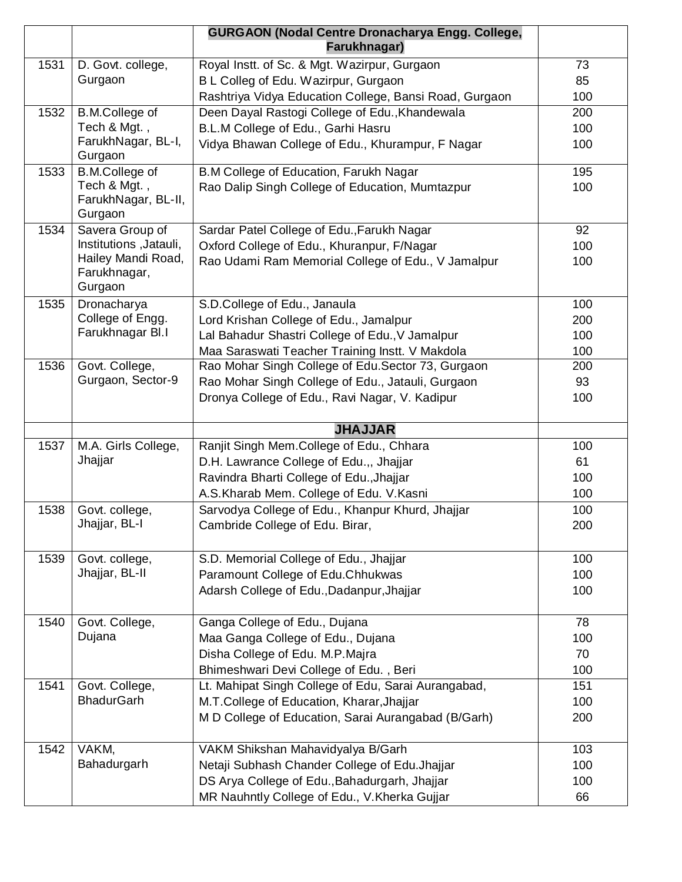|      |                                                | <b>GURGAON (Nodal Centre Dronacharya Engg. College,</b><br>Farukhnagar)                          |     |
|------|------------------------------------------------|--------------------------------------------------------------------------------------------------|-----|
| 1531 | D. Govt. college,                              | Royal Instt. of Sc. & Mgt. Wazirpur, Gurgaon                                                     | 73  |
|      | Gurgaon                                        | B L Colleg of Edu. Wazirpur, Gurgaon                                                             | 85  |
|      |                                                | Rashtriya Vidya Education College, Bansi Road, Gurgaon                                           | 100 |
| 1532 | <b>B.M.College of</b>                          | Deen Dayal Rastogi College of Edu., Khandewala                                                   | 200 |
|      | Tech & Mgt.,                                   | B.L.M College of Edu., Garhi Hasru                                                               | 100 |
|      | FarukhNagar, BL-I,<br>Gurgaon                  | Vidya Bhawan College of Edu., Khurampur, F Nagar                                                 | 100 |
| 1533 | <b>B.M.College of</b>                          | B.M College of Education, Farukh Nagar                                                           | 195 |
|      | Tech & Mgt.,<br>FarukhNagar, BL-II,<br>Gurgaon | Rao Dalip Singh College of Education, Mumtazpur                                                  | 100 |
| 1534 | Savera Group of                                | Sardar Patel College of Edu., Farukh Nagar                                                       | 92  |
|      | Institutions, Jatauli,                         | Oxford College of Edu., Khuranpur, F/Nagar                                                       | 100 |
|      | Hailey Mandi Road,<br>Farukhnagar,<br>Gurgaon  | Rao Udami Ram Memorial College of Edu., V Jamalpur                                               | 100 |
| 1535 | Dronacharya                                    | S.D.College of Edu., Janaula                                                                     | 100 |
|      | College of Engg.                               | Lord Krishan College of Edu., Jamalpur                                                           | 200 |
|      | Farukhnagar Bl.I                               | Lal Bahadur Shastri College of Edu., V Jamalpur                                                  | 100 |
|      |                                                | Maa Saraswati Teacher Training Instt. V Makdola                                                  | 100 |
| 1536 | Govt. College,                                 | Rao Mohar Singh College of Edu.Sector 73, Gurgaon                                                | 200 |
|      | Gurgaon, Sector-9                              | Rao Mohar Singh College of Edu., Jatauli, Gurgaon                                                | 93  |
|      |                                                | Dronya College of Edu., Ravi Nagar, V. Kadipur                                                   | 100 |
|      |                                                | <b>JHAJJAR</b>                                                                                   |     |
| 1537 | M.A. Girls College,                            | Ranjit Singh Mem.College of Edu., Chhara                                                         | 100 |
|      | Jhajjar                                        | D.H. Lawrance College of Edu.,, Jhajjar                                                          | 61  |
|      |                                                | Ravindra Bharti College of Edu., Jhajjar                                                         | 100 |
|      |                                                | A.S.Kharab Mem. College of Edu. V.Kasni                                                          | 100 |
| 1538 | Govt. college,                                 | Sarvodya College of Edu., Khanpur Khurd, Jhajjar                                                 | 100 |
|      | Jhajjar, BL-I                                  | Cambride College of Edu. Birar,                                                                  | 200 |
| 1539 | Govt. college,                                 | S.D. Memorial College of Edu., Jhajjar                                                           | 100 |
|      | Jhajjar, BL-II                                 | Paramount College of Edu.Chhukwas                                                                | 100 |
|      |                                                | Adarsh College of Edu., Dadanpur, Jhajjar                                                        | 100 |
| 1540 | Govt. College,                                 | Ganga College of Edu., Dujana                                                                    | 78  |
|      | Dujana                                         | Maa Ganga College of Edu., Dujana                                                                | 100 |
|      |                                                |                                                                                                  |     |
|      |                                                |                                                                                                  | 70  |
|      |                                                | Disha College of Edu. M.P.Majra<br>Bhimeshwari Devi College of Edu., Beri                        | 100 |
| 1541 | Govt. College,                                 | Lt. Mahipat Singh College of Edu, Sarai Aurangabad,                                              | 151 |
|      | <b>BhadurGarh</b>                              |                                                                                                  | 100 |
|      |                                                | M.T.College of Education, Kharar, Jhajjar<br>M D College of Education, Sarai Aurangabad (B/Garh) | 200 |
| 1542 | VAKM,                                          | VAKM Shikshan Mahavidyalya B/Garh                                                                | 103 |
|      | Bahadurgarh                                    | Netaji Subhash Chander College of Edu. Jhajjar                                                   | 100 |
|      |                                                | DS Arya College of Edu., Bahadurgarh, Jhajjar                                                    | 100 |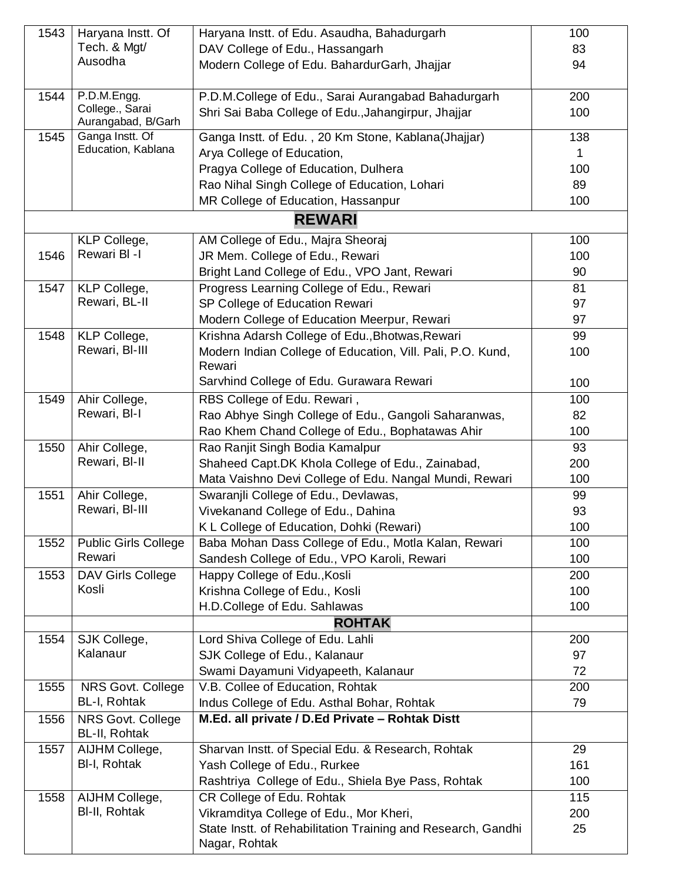| 1543 | Haryana Instt. Of                     | Haryana Instt. of Edu. Asaudha, Bahadurgarh                    | 100 |
|------|---------------------------------------|----------------------------------------------------------------|-----|
|      | Tech. & Mgt/                          | DAV College of Edu., Hassangarh                                | 83  |
|      | Ausodha                               | Modern College of Edu. BahardurGarh, Jhajjar                   | 94  |
|      |                                       |                                                                |     |
| 1544 | P.D.M.Engg.<br>College., Sarai        | P.D.M.College of Edu., Sarai Aurangabad Bahadurgarh            | 200 |
|      | Aurangabad, B/Garh                    | Shri Sai Baba College of Edu., Jahangirpur, Jhajjar            | 100 |
| 1545 | Ganga Instt. Of                       | Ganga Instt. of Edu., 20 Km Stone, Kablana(Jhajjar)            | 138 |
|      | Education, Kablana                    | Arya College of Education,                                     |     |
|      |                                       | Pragya College of Education, Dulhera                           | 100 |
|      |                                       | Rao Nihal Singh College of Education, Lohari                   | 89  |
|      |                                       | MR College of Education, Hassanpur                             | 100 |
|      |                                       | <b>REWARI</b>                                                  |     |
|      | KLP College,                          | AM College of Edu., Majra Sheoraj                              | 100 |
| 1546 | Rewari BI-I                           | JR Mem. College of Edu., Rewari                                | 100 |
|      |                                       | Bright Land College of Edu., VPO Jant, Rewari                  | 90  |
| 1547 | KLP College,                          | Progress Learning College of Edu., Rewari                      | 81  |
|      | Rewari, BL-II                         | SP College of Education Rewari                                 | 97  |
|      |                                       | Modern College of Education Meerpur, Rewari                    | 97  |
| 1548 | KLP College,                          | Krishna Adarsh College of Edu., Bhotwas, Rewari                | 99  |
|      | Rewari, BI-III                        | Modern Indian College of Education, Vill. Pali, P.O. Kund,     | 100 |
|      |                                       | Rewari                                                         |     |
|      |                                       | Sarvhind College of Edu. Gurawara Rewari                       | 100 |
| 1549 | Ahir College,                         | RBS College of Edu. Rewari,                                    | 100 |
|      | Rewari, BI-I                          | Rao Abhye Singh College of Edu., Gangoli Saharanwas,           | 82  |
|      |                                       | Rao Khem Chand College of Edu., Bophatawas Ahir                | 100 |
| 1550 | Ahir College,                         | Rao Ranjit Singh Bodia Kamalpur                                | 93  |
|      | Rewari, BI-II                         | Shaheed Capt.DK Khola College of Edu., Zainabad,               | 200 |
|      |                                       | Mata Vaishno Devi College of Edu. Nangal Mundi, Rewari         | 100 |
| 1551 | Ahir College,                         | Swaranjli College of Edu., Devlawas,                           | 99  |
|      | Rewari, BI-III                        | Vivekanand College of Edu., Dahina                             | 93  |
|      |                                       | K L College of Education, Dohki (Rewari)                       | 100 |
| 1552 | <b>Public Girls College</b><br>Rewari | Baba Mohan Dass College of Edu., Motla Kalan, Rewari           | 100 |
|      |                                       | Sandesh College of Edu., VPO Karoli, Rewari                    | 100 |
| 1553 | DAV Girls College<br>Kosli            | Happy College of Edu., Kosli                                   | 200 |
|      |                                       | Krishna College of Edu., Kosli<br>H.D.College of Edu. Sahlawas | 100 |
|      |                                       | <b>ROHTAK</b>                                                  | 100 |
| 1554 | SJK College,                          | Lord Shiva College of Edu. Lahli                               | 200 |
|      | Kalanaur                              | SJK College of Edu., Kalanaur                                  | 97  |
|      |                                       | Swami Dayamuni Vidyapeeth, Kalanaur                            | 72  |
| 1555 | NRS Govt. College                     | V.B. Collee of Education, Rohtak                               | 200 |
|      | BL-I, Rohtak                          | Indus College of Edu. Asthal Bohar, Rohtak                     | 79  |
| 1556 | NRS Govt. College                     | M.Ed. all private / D.Ed Private - Rohtak Distt                |     |
|      | BL-II, Rohtak                         |                                                                |     |
| 1557 | AIJHM College,                        | Sharvan Instt. of Special Edu. & Research, Rohtak              | 29  |
|      | BI-I, Rohtak                          | Yash College of Edu., Rurkee                                   | 161 |
|      |                                       | Rashtriya College of Edu., Shiela Bye Pass, Rohtak             | 100 |
| 1558 | AIJHM College,                        | CR College of Edu. Rohtak                                      | 115 |
|      | BI-II, Rohtak                         | Vikramditya College of Edu., Mor Kheri,                        | 200 |
|      |                                       | State Instt. of Rehabilitation Training and Research, Gandhi   | 25  |
|      |                                       | Nagar, Rohtak                                                  |     |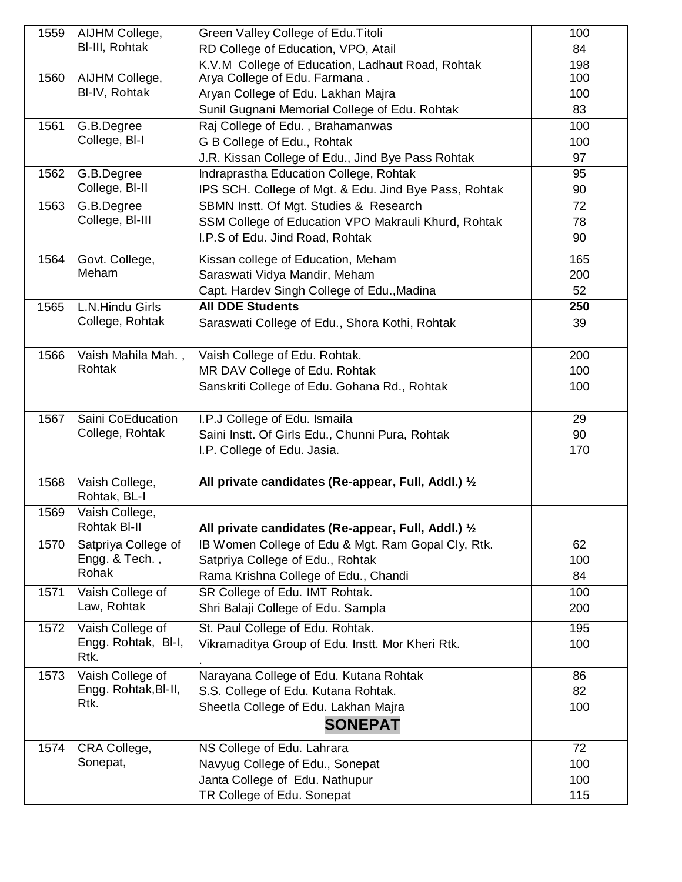| 1559 | AIJHM College,                 | Green Valley College of Edu. Titoli                   | 100 |
|------|--------------------------------|-------------------------------------------------------|-----|
|      | BI-III, Rohtak                 |                                                       |     |
|      |                                | RD College of Education, VPO, Atail                   | 84  |
|      |                                | K.V.M College of Education, Ladhaut Road, Rohtak      | 198 |
| 1560 | AIJHM College,                 | Arya College of Edu. Farmana.                         | 100 |
|      | BI-IV, Rohtak                  | Aryan College of Edu. Lakhan Majra                    | 100 |
|      |                                | Sunil Gugnani Memorial College of Edu. Rohtak         | 83  |
| 1561 | G.B.Degree                     | Raj College of Edu., Brahamanwas                      | 100 |
|      | College, BI-I                  | G B College of Edu., Rohtak                           | 100 |
|      |                                | J.R. Kissan College of Edu., Jind Bye Pass Rohtak     | 97  |
| 1562 | G.B.Degree                     | Indraprastha Education College, Rohtak                | 95  |
|      | College, BI-II                 | IPS SCH. College of Mgt. & Edu. Jind Bye Pass, Rohtak | 90  |
|      |                                |                                                       | 72  |
| 1563 | G.B.Degree                     | SBMN Instt. Of Mgt. Studies & Research                |     |
|      | College, BI-III                | SSM College of Education VPO Makrauli Khurd, Rohtak   | 78  |
|      |                                | I.P.S of Edu. Jind Road, Rohtak                       | 90  |
| 1564 | Govt. College,                 | Kissan college of Education, Meham                    | 165 |
|      | Meham                          | Saraswati Vidya Mandir, Meham                         | 200 |
|      |                                | Capt. Hardev Singh College of Edu., Madina            | 52  |
|      |                                |                                                       |     |
| 1565 | L.N.Hindu Girls                | <b>All DDE Students</b>                               | 250 |
|      | College, Rohtak                | Saraswati College of Edu., Shora Kothi, Rohtak        | 39  |
| 1566 | Vaish Mahila Mah.,             | Vaish College of Edu. Rohtak.                         | 200 |
|      | Rohtak                         | MR DAV College of Edu. Rohtak                         | 100 |
|      |                                | Sanskriti College of Edu. Gohana Rd., Rohtak          | 100 |
| 1567 | Saini CoEducation              | I.P.J College of Edu. Ismaila                         | 29  |
|      | College, Rohtak                | Saini Instt. Of Girls Edu., Chunni Pura, Rohtak       | 90  |
|      |                                | I.P. College of Edu. Jasia.                           | 170 |
| 1568 | Vaish College,                 | All private candidates (Re-appear, Full, Addl.) 1/2   |     |
|      | Rohtak, BL-I                   |                                                       |     |
| 1569 | Vaish College,<br>Rohtak BI-II | All private candidates (Re-appear, Full, Addl.) 1/2   |     |
| 1570 | Satpriya College of            | IB Women College of Edu & Mgt. Ram Gopal Cly, Rtk.    | 62  |
|      | Engg. & Tech.,                 | Satpriya College of Edu., Rohtak                      | 100 |
|      | Rohak                          | Rama Krishna College of Edu., Chandi                  | 84  |
| 1571 | Vaish College of               | SR College of Edu. IMT Rohtak.                        | 100 |
|      | Law, Rohtak                    | Shri Balaji College of Edu. Sampla                    | 200 |
| 1572 | Vaish College of               | St. Paul College of Edu. Rohtak.                      | 195 |
|      | Engg. Rohtak, BI-I,            | Vikramaditya Group of Edu. Instt. Mor Kheri Rtk.      | 100 |
|      | Rtk.                           |                                                       |     |
| 1573 | Vaish College of               | Narayana College of Edu. Kutana Rohtak                | 86  |
|      | Engg. Rohtak, BI-II,           | S.S. College of Edu. Kutana Rohtak.                   | 82  |
|      | Rtk.                           | Sheetla College of Edu. Lakhan Majra                  | 100 |
|      |                                | <b>SONEPAT</b>                                        |     |
| 1574 | CRA College,                   | NS College of Edu. Lahrara                            | 72  |
|      | Sonepat,                       | Navyug College of Edu., Sonepat                       | 100 |
|      |                                | Janta College of Edu. Nathupur                        | 100 |
|      |                                |                                                       |     |
|      |                                | TR College of Edu. Sonepat                            | 115 |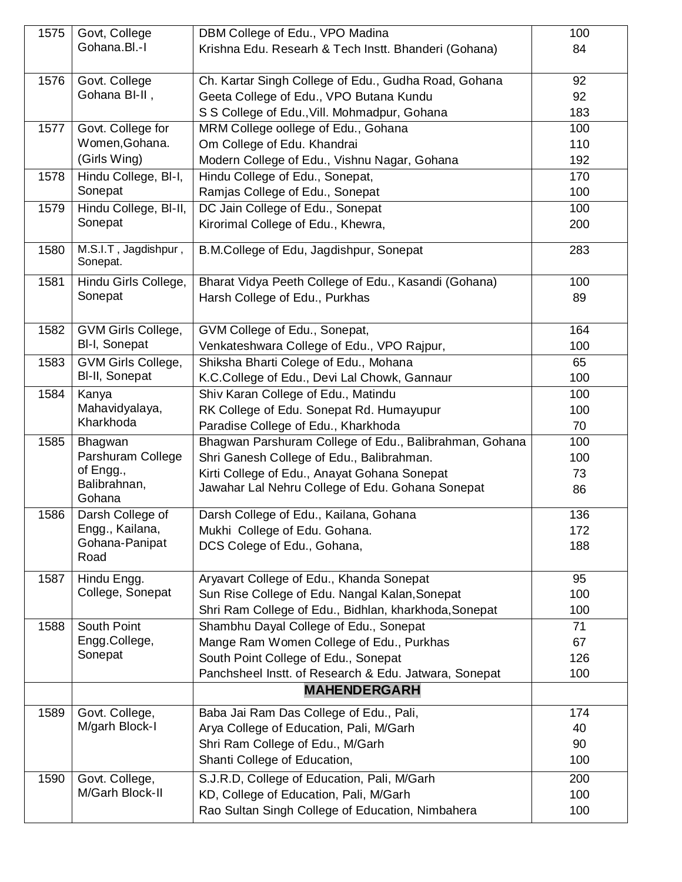| 1575 | Govt, College                    | DBM College of Edu., VPO Madina                        | 100 |
|------|----------------------------------|--------------------------------------------------------|-----|
|      | Gohana.Bl.-I                     | Krishna Edu. Researh & Tech Instt. Bhanderi (Gohana)   | 84  |
| 1576 | Govt. College                    | Ch. Kartar Singh College of Edu., Gudha Road, Gohana   | 92  |
|      | Gohana BI-II,                    | Geeta College of Edu., VPO Butana Kundu                | 92  |
|      |                                  | S S College of Edu., Vill. Mohmadpur, Gohana           | 183 |
| 1577 | Govt. College for                | MRM College oollege of Edu., Gohana                    | 100 |
|      | Women, Gohana.                   | Om College of Edu. Khandrai                            | 110 |
|      | (Girls Wing)                     | Modern College of Edu., Vishnu Nagar, Gohana           | 192 |
| 1578 | Hindu College, BI-I,             | Hindu College of Edu., Sonepat,                        | 170 |
|      | Sonepat                          | Ramjas College of Edu., Sonepat                        | 100 |
| 1579 | Hindu College, BI-II,            | DC Jain College of Edu., Sonepat                       | 100 |
|      | Sonepat                          | Kirorimal College of Edu., Khewra,                     | 200 |
| 1580 | M.S.I.T, Jagdishpur,<br>Sonepat. | B.M.College of Edu, Jagdishpur, Sonepat                | 283 |
| 1581 | Hindu Girls College,             | Bharat Vidya Peeth College of Edu., Kasandi (Gohana)   | 100 |
|      | Sonepat                          | Harsh College of Edu., Purkhas                         | 89  |
|      |                                  |                                                        |     |
| 1582 | GVM Girls College,               | GVM College of Edu., Sonepat,                          | 164 |
|      | BI-I, Sonepat                    | Venkateshwara College of Edu., VPO Rajpur,             | 100 |
| 1583 | GVM Girls College,               | Shiksha Bharti Colege of Edu., Mohana                  | 65  |
|      | BI-II, Sonepat                   | K.C.College of Edu., Devi Lal Chowk, Gannaur           | 100 |
| 1584 | Kanya                            | Shiv Karan College of Edu., Matindu                    | 100 |
|      | Mahavidyalaya,                   | RK College of Edu. Sonepat Rd. Humayupur               | 100 |
|      | Kharkhoda                        | Paradise College of Edu., Kharkhoda                    | 70  |
| 1585 | Bhagwan                          | Bhagwan Parshuram College of Edu., Balibrahman, Gohana | 100 |
|      | Parshuram College                | Shri Ganesh College of Edu., Balibrahman.              | 100 |
|      | of Engg.,<br>Balibrahnan,        | Kirti College of Edu., Anayat Gohana Sonepat           | 73  |
|      | Gohana                           | Jawahar Lal Nehru College of Edu. Gohana Sonepat       | 86  |
| 1586 | Darsh College of                 | Darsh College of Edu., Kailana, Gohana                 | 136 |
|      | Engg., Kailana,                  | Mukhi College of Edu. Gohana.                          | 172 |
|      | Gohana-Panipat                   | DCS Colege of Edu., Gohana,                            | 188 |
|      | Road                             |                                                        |     |
| 1587 | Hindu Engg.                      | Aryavart College of Edu., Khanda Sonepat               | 95  |
|      | College, Sonepat                 | Sun Rise College of Edu. Nangal Kalan, Sonepat         | 100 |
|      |                                  | Shri Ram College of Edu., Bidhlan, kharkhoda, Sonepat  | 100 |
| 1588 | South Point                      | Shambhu Dayal College of Edu., Sonepat                 | 71  |
|      | Engg.College,                    | Mange Ram Women College of Edu., Purkhas               | 67  |
|      | Sonepat                          | South Point College of Edu., Sonepat                   | 126 |
|      |                                  | Panchsheel Instt. of Research & Edu. Jatwara, Sonepat  | 100 |
|      |                                  | <b>MAHENDERGARH</b>                                    |     |
| 1589 | Govt. College,                   | Baba Jai Ram Das College of Edu., Pali,                | 174 |
|      | M/garh Block-I                   | Arya College of Education, Pali, M/Garh                | 40  |
|      |                                  | Shri Ram College of Edu., M/Garh                       | 90  |
|      |                                  | Shanti College of Education,                           | 100 |
| 1590 | Govt. College,                   | S.J.R.D, College of Education, Pali, M/Garh            | 200 |
|      | M/Garh Block-II                  | KD, College of Education, Pali, M/Garh                 | 100 |
|      |                                  | Rao Sultan Singh College of Education, Nimbahera       | 100 |